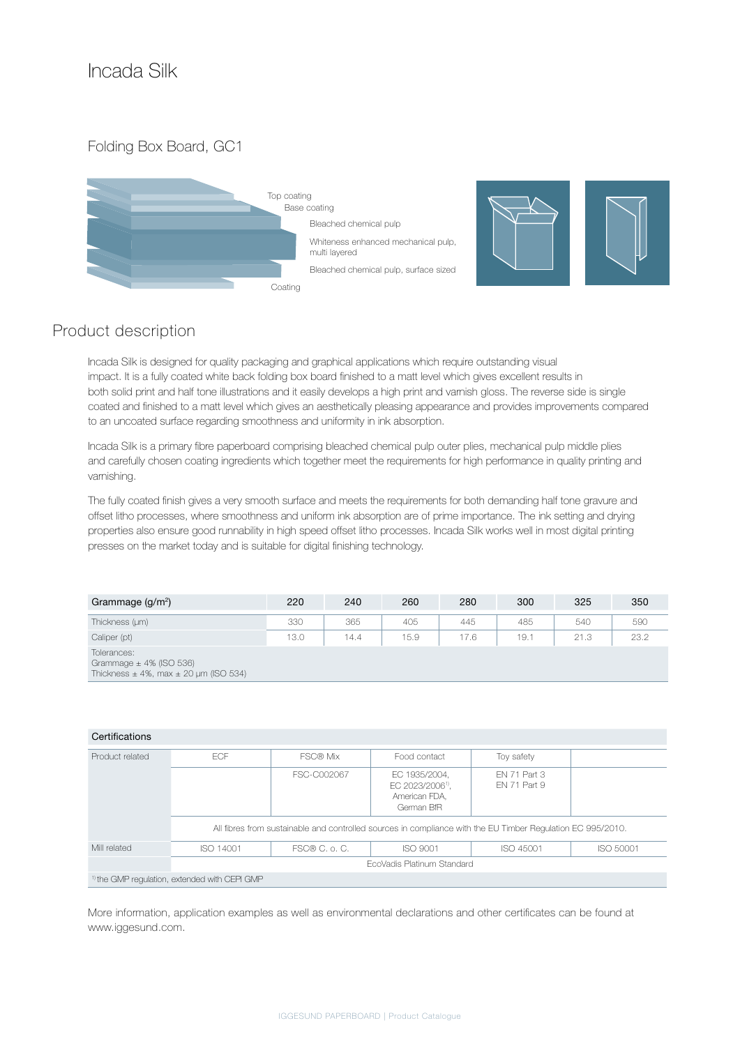Folding Box Board, GC1





## Product description

Incada Silk is designed for quality packaging and graphical applications which require outstanding visual impact. It is a fully coated white back folding box board finished to a matt level which gives excellent results in both solid print and half tone illustrations and it easily develops a high print and varnish gloss. The reverse side is single coated and finished to a matt level which gives an aesthetically pleasing appearance and provides improvements compared to an uncoated surface regarding smoothness and uniformity in ink absorption.

Incada Silk is a primary fibre paperboard comprising bleached chemical pulp outer plies, mechanical pulp middle plies and carefully chosen coating ingredients which together meet the requirements for high performance in quality printing and varnishing.

The fully coated finish gives a very smooth surface and meets the requirements for both demanding half tone gravure and offset litho processes, where smoothness and uniform ink absorption are of prime importance. The ink setting and drying properties also ensure good runnability in high speed offset litho processes. Incada Silk works well in most digital printing presses on the market today and is suitable for digital finishing technology.

| Grammage $(g/m^2)$ | 220  | 240  | 260  | 280  | 300  | 325  | 350  |
|--------------------|------|------|------|------|------|------|------|
| Thickness (µm)     | 330  | 365  | 405  | 445  | 485  | 540  | 590  |
| Caliper (pt)       | 13.0 | 14.4 | 15.9 | 17.6 | 19.1 | 21.3 | 23.2 |
| Tolerances:        |      |      |      |      |      |      |      |

Grammage  $\pm$  4% (ISO 536) Thickness  $\pm 4\%$ , max  $\pm 20$  µm (ISO 534)

| Certifications  |                                                                                                             |               |                                                                              |                              |           |  |  |  |  |
|-----------------|-------------------------------------------------------------------------------------------------------------|---------------|------------------------------------------------------------------------------|------------------------------|-----------|--|--|--|--|
| Product related | ECF                                                                                                         | FSC® Mix      | Food contact                                                                 | Toy safety                   |           |  |  |  |  |
|                 |                                                                                                             | FSC-C002067   | EC 1935/2004.<br>EC 2023/2006 <sup>1)</sup> .<br>American FDA.<br>German BfR | FN 71 Part 3<br>EN 71 Part 9 |           |  |  |  |  |
|                 | All fibres from sustainable and controlled sources in compliance with the EU Timber Regulation EC 995/2010. |               |                                                                              |                              |           |  |  |  |  |
| Mill related    | ISO 14001                                                                                                   | FSC® C. o. C. | ISO 9001                                                                     | ISO 45001                    | ISO 50001 |  |  |  |  |
|                 | EcoVadis Platinum Standard                                                                                  |               |                                                                              |                              |           |  |  |  |  |
|                 | <sup>1)</sup> the GMP regulation, extended with CEPI GMP                                                    |               |                                                                              |                              |           |  |  |  |  |

More information, application examples as well as environmental declarations and other certificates can be found at www.iggesund.com.